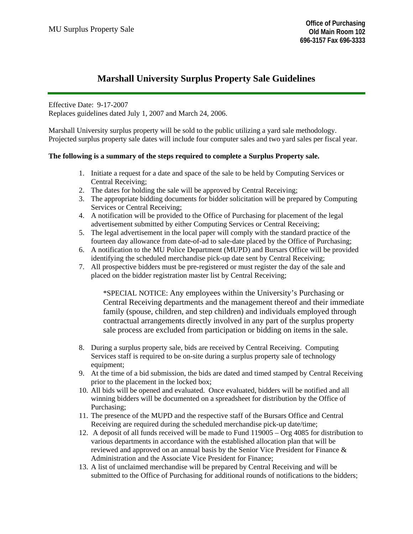# **Marshall University Surplus Property Sale Guidelines**

Effective Date: 9-17-2007 Replaces guidelines dated July 1, 2007 and March 24, 2006.

Marshall University surplus property will be sold to the public utilizing a yard sale methodology. Projected surplus property sale dates will include four computer sales and two yard sales per fiscal year.

#### **The following is a summary of the steps required to complete a Surplus Property sale.**

- 1. Initiate a request for a date and space of the sale to be held by Computing Services or Central Receiving;
- 2. The dates for holding the sale will be approved by Central Receiving;
- 3. The appropriate bidding documents for bidder solicitation will be prepared by Computing Services or Central Receiving;
- 4. A notification will be provided to the Office of Purchasing for placement of the legal advertisement submitted by either Computing Services or Central Receiving;
- 5. The legal advertisement in the local paper will comply with the standard practice of the fourteen day allowance from date-of-ad to sale-date placed by the Office of Purchasing;
- 6. A notification to the MU Police Department (MUPD) and Bursars Office will be provided identifying the scheduled merchandise pick-up date sent by Central Receiving;
- 7. All prospective bidders must be pre-registered or must register the day of the sale and placed on the bidder registration master list by Central Receiving;

\*SPECIAL NOTICE: Any employees within the University's Purchasing or Central Receiving departments and the management thereof and their immediate family (spouse, children, and step children) and individuals employed through contractual arrangements directly involved in any part of the surplus property sale process are excluded from participation or bidding on items in the sale.

- 8. During a surplus property sale, bids are received by Central Receiving. Computing Services staff is required to be on-site during a surplus property sale of technology equipment:
- 9. At the time of a bid submission, the bids are dated and timed stamped by Central Receiving prior to the placement in the locked box;
- 10. All bids will be opened and evaluated. Once evaluated, bidders will be notified and all winning bidders will be documented on a spreadsheet for distribution by the Office of Purchasing;
- 11. The presence of the MUPD and the respective staff of the Bursars Office and Central Receiving are required during the scheduled merchandise pick-up date/time;
- 12. A deposit of all funds received will be made to Fund 119005 Org 4085 for distribution to various departments in accordance with the established allocation plan that will be reviewed and approved on an annual basis by the Senior Vice President for Finance & Administration and the Associate Vice President for Finance;
- 13. A list of unclaimed merchandise will be prepared by Central Receiving and will be submitted to the Office of Purchasing for additional rounds of notifications to the bidders;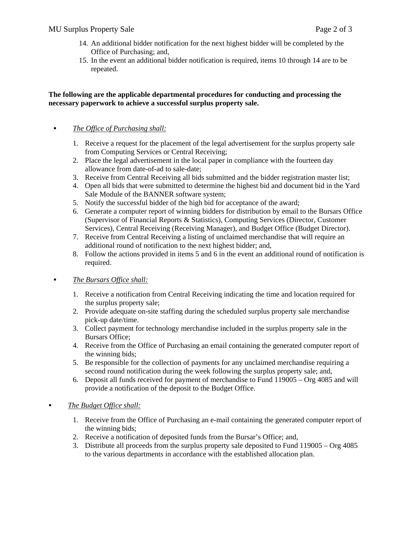- 14. An additional bidder notification for the next highest bidder will be completed by the Office of Purchasing; and,
- 15. In the event an additional bidder notification is required, items 10 through 14 are to be repeated.

#### **The following are the applicable departmental procedures for conducting and processing the necessary paperwork to achieve a successful surplus property sale.**

#### *The Office of Purchasing shall:*

- 1. Receive a request for the placement of the legal advertisement for the surplus property sale from Computing Services or Central Receiving;
- 2. Place the legal advertisement in the local paper in compliance with the fourteen day allowance from date-of-ad to sale-date;
- 3. Receive from Central Receiving all bids submitted and the bidder registration master list;
- 4. Open all bids that were submitted to determine the highest bid and document bid in the Yard Sale Module of the BANNER software system;
- 5. Notify the successful bidder of the high bid for acceptance of the award;
- 6. Generate a computer report of winning bidders for distribution by email to the Bursars Office (Supervisor of Financial Reports & Statistics), Computing Services (Director, Customer Services), Central Receiving (Receiving Manager), and Budget Office (Budget Director).
- 7. Receive from Central Receiving a listing of unclaimed merchandise that will require an additional round of notification to the next highest bidder; and,
- 8. Follow the actions provided in items 5 and 6 in the event an additional round of notification is required.

## *The Bursars Office shall:*

- 1. Receive a notification from Central Receiving indicating the time and location required for the surplus property sale;
- 2. Provide adequate on-site staffing during the scheduled surplus property sale merchandise pick-up date/time.
- 3. Collect payment for technology merchandise included in the surplus property sale in the Bursars Office;
- 4. Receive from the Office of Purchasing an email containing the generated computer report of the winning bids;
- 5. Be responsible for the collection of payments for any unclaimed merchandise requiring a second round notification during the week following the surplus property sale; and,
- 6. Deposit all funds received for payment of merchandise to Fund 119005 Org 4085 and will provide a notification of the deposit to the Budget Office.

## *The Budget Office shall:*

- 1. Receive from the Office of Purchasing an e-mail containing the generated computer report of the winning bids;
- 2. Receive a notification of deposited funds from the Bursar's Office; and,
- 3. Distribute all proceeds from the surplus property sale deposited to Fund 119005 Org 4085 to the various departments in accordance with the established allocation plan.